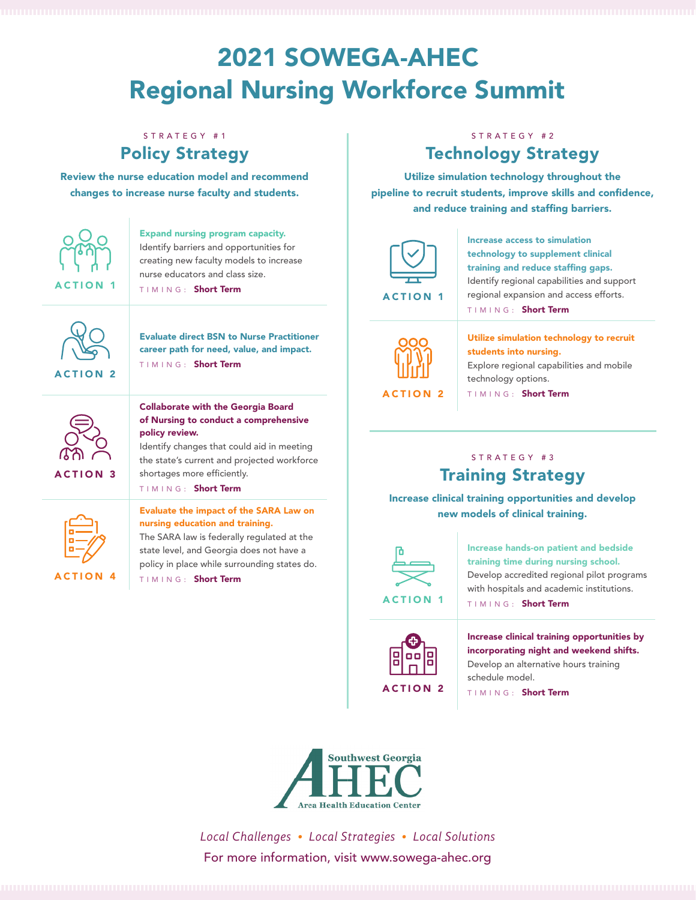# 2021 SOWEGA-AHEC Regional Nursing Workforce Summit

# STRATEGY #1 Policy Strategy

Review the nurse education model and recommend changes to increase nurse faculty and students.



Expand nursing program capacity. Identify barriers and opportunities for creating new faculty models to increase nurse educators and class size. TIMING: Short Term



Evaluate direct BSN to Nurse Practitioner career path for need, value, and impact. TIMING: Short Term

#### Collaborate with the Georgia Board of Nursing to conduct a comprehensive policy review.

Identify changes that could aid in meeting the state's current and projected workforce shortages more efficiently.

TIMING: Short Term



ACTION 3

Evaluate the impact of the SARA Law on nursing education and training. The SARA law is federally regulated at the

state level, and Georgia does not have a policy in place while surrounding states do. TIMING: Short Term

## STRATEGY #2 Technology Strategy

Utilize simulation technology throughout the pipeline to recruit students, improve skills and confidence, and reduce training and staffing barriers.



Increase access to simulation technology to supplement clinical training and reduce staffing gaps. Identify regional capabilities and support regional expansion and access efforts. TIMING: Short Term



Utilize simulation technology to recruit students into nursing. Explore regional capabilities and mobile technology options.

TIMING: Short Term

# STRATEGY #3 Training Strategy

Increase clinical training opportunities and develop new models of clinical training.



Increase hands-on patient and bedside training time during nursing school. Develop accredited regional pilot programs with hospitals and academic institutions.

TIMING: Short Term



Increase clinical training opportunities by incorporating night and weekend shifts. Develop an alternative hours training schedule model.

TIMING: Short Term



*Local Challenges • Local Strategies • Local Solutions* For more information, visit www.sowega-ahec.org